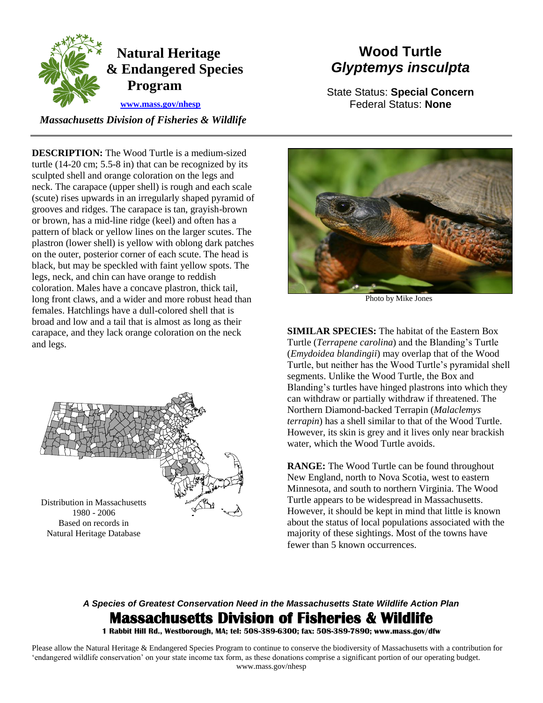

## **Natural Heritage & Endangered Species Program**

 **[www.mass.gov/nhesp](http://www.mass.gov/eea/agencies/dfg/dfw/natural-heritage/)**

 *Massachusetts Division of Fisheries & Wildlife* 

**DESCRIPTION:** The Wood Turtle is a medium-sized turtle (14-20 cm; 5.5-8 in) that can be recognized by its sculpted shell and orange coloration on the legs and neck. The carapace (upper shell) is rough and each scale (scute) rises upwards in an irregularly shaped pyramid of grooves and ridges. The carapace is tan, grayish-brown or brown, has a mid-line ridge (keel) and often has a pattern of black or yellow lines on the larger scutes. The plastron (lower shell) is yellow with oblong dark patches on the outer, posterior corner of each scute. The head is black, but may be speckled with faint yellow spots. The legs, neck, and chin can have orange to reddish coloration. Males have a concave plastron, thick tail, long front claws, and a wider and more robust head than females. Hatchlings have a dull-colored shell that is broad and low and a tail that is almost as long as their carapace, and they lack orange coloration on the neck and legs.



1980 - 2006 Based on records in Natural Heritage Database

# **Wood Turtle** *Glyptemys insculpta*

State Status: **Special Concern** Federal Status: **None**



Photo by Mike Jones

**SIMILAR SPECIES:** The habitat of the Eastern Box Turtle (*Terrapene carolina*) and the Blanding's Turtle (*Emydoidea blandingii*) may overlap that of the Wood Turtle, but neither has the Wood Turtle's pyramidal shell segments. Unlike the Wood Turtle, the Box and Blanding's turtles have hinged plastrons into which they can withdraw or partially withdraw if threatened. The Northern Diamond-backed Terrapin (*Malaclemys terrapin*) has a shell similar to that of the Wood Turtle. However, its skin is grey and it lives only near brackish water, which the Wood Turtle avoids.

**RANGE:** The Wood Turtle can be found throughout New England, north to Nova Scotia, west to eastern Minnesota, and south to northern Virginia. The Wood Turtle appears to be widespread in Massachusetts. However, it should be kept in mind that little is known about the status of local populations associated with the majority of these sightings. Most of the towns have fewer than 5 known occurrences.

### *A Species of Greatest Conservation Need in the Massachusetts State Wildlife Action Plan*  **Massachusetts Division of Fisheries & Wildlife**

**1 Rabbit Hill Rd., Westborough, MA; tel: 508-389-6300; fax: 508-389-7890; www.mass.gov/dfw** 

Please allow the Natural Heritage & Endangered Species Program to continue to conserve the biodiversity of Massachusetts with a contribution for 'endangered wildlife conservation' on your state income tax form, as these donations comprise a significant portion of our operating budget. www.mass.gov/nhesp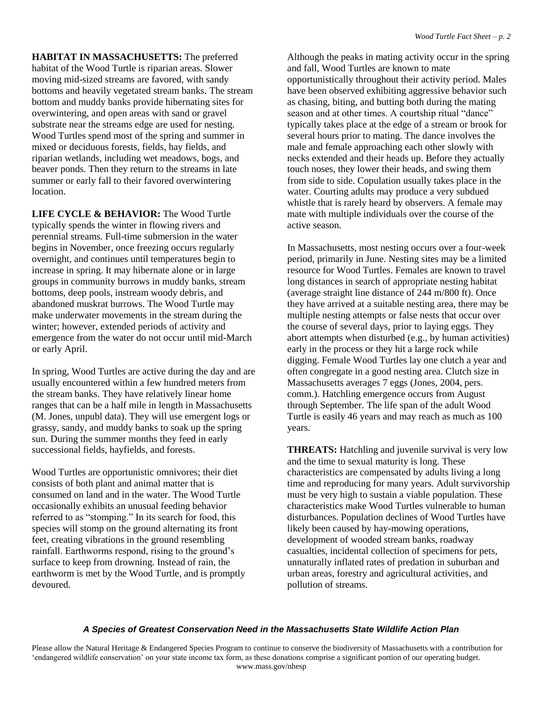**HABITAT IN MASSACHUSETTS:** The preferred habitat of the Wood Turtle is riparian areas. Slower moving mid-sized streams are favored, with sandy bottoms and heavily vegetated stream banks. The stream bottom and muddy banks provide hibernating sites for overwintering, and open areas with sand or gravel substrate near the streams edge are used for nesting. Wood Turtles spend most of the spring and summer in mixed or deciduous forests, fields, hay fields, and riparian wetlands, including wet meadows, bogs, and beaver ponds. Then they return to the streams in late summer or early fall to their favored overwintering location.

**LIFE CYCLE & BEHAVIOR:** The Wood Turtle typically spends the winter in flowing rivers and perennial streams. Full-time submersion in the water begins in November, once freezing occurs regularly overnight, and continues until temperatures begin to increase in spring. It may hibernate alone or in large groups in community burrows in muddy banks, stream bottoms, deep pools, instream woody debris, and abandoned muskrat burrows. The Wood Turtle may make underwater movements in the stream during the winter; however, extended periods of activity and emergence from the water do not occur until mid-March or early April.

In spring, Wood Turtles are active during the day and are usually encountered within a few hundred meters from the stream banks. They have relatively linear home ranges that can be a half mile in length in Massachusetts (M. Jones, unpubl data). They will use emergent logs or grassy, sandy, and muddy banks to soak up the spring sun. During the summer months they feed in early successional fields, hayfields, and forests.

Wood Turtles are opportunistic omnivores; their diet consists of both plant and animal matter that is consumed on land and in the water. The Wood Turtle occasionally exhibits an unusual feeding behavior referred to as "stomping." In its search for food, this species will stomp on the ground alternating its front feet, creating vibrations in the ground resembling rainfall. Earthworms respond, rising to the ground's surface to keep from drowning. Instead of rain, the earthworm is met by the Wood Turtle, and is promptly devoured.

Although the peaks in mating activity occur in the spring and fall, Wood Turtles are known to mate opportunistically throughout their activity period. Males have been observed exhibiting aggressive behavior such as chasing, biting, and butting both during the mating season and at other times. A courtship ritual "dance" typically takes place at the edge of a stream or brook for several hours prior to mating. The dance involves the male and female approaching each other slowly with necks extended and their heads up. Before they actually touch noses, they lower their heads, and swing them from side to side. Copulation usually takes place in the water. Courting adults may produce a very subdued whistle that is rarely heard by observers. A female may mate with multiple individuals over the course of the active season.

In Massachusetts, most nesting occurs over a four-week period, primarily in June. Nesting sites may be a limited resource for Wood Turtles. Females are known to travel long distances in search of appropriate nesting habitat (average straight line distance of 244 m/800 ft). Once they have arrived at a suitable nesting area, there may be multiple nesting attempts or false nests that occur over the course of several days, prior to laying eggs. They abort attempts when disturbed (e.g., by human activities) early in the process or they hit a large rock while digging. Female Wood Turtles lay one clutch a year and often congregate in a good nesting area. Clutch size in Massachusetts averages 7 eggs (Jones, 2004, pers. comm.). Hatchling emergence occurs from August through September. The life span of the adult Wood Turtle is easily 46 years and may reach as much as 100 years.

**THREATS:** Hatchling and juvenile survival is very low and the time to sexual maturity is long. These characteristics are compensated by adults living a long time and reproducing for many years. Adult survivorship must be very high to sustain a viable population. These characteristics make Wood Turtles vulnerable to human disturbances. Population declines of Wood Turtles have likely been caused by hay-mowing operations, development of wooded stream banks, roadway casualties, incidental collection of specimens for pets, unnaturally inflated rates of predation in suburban and urban areas, forestry and agricultural activities, and pollution of streams.

#### *A Species of Greatest Conservation Need in the Massachusetts State Wildlife Action Plan*

Please allow the Natural Heritage & Endangered Species Program to continue to conserve the biodiversity of Massachusetts with a contribution for 'endangered wildlife conservation' on your state income tax form, as these donations comprise a significant portion of our operating budget. www.mass.gov/nhesp